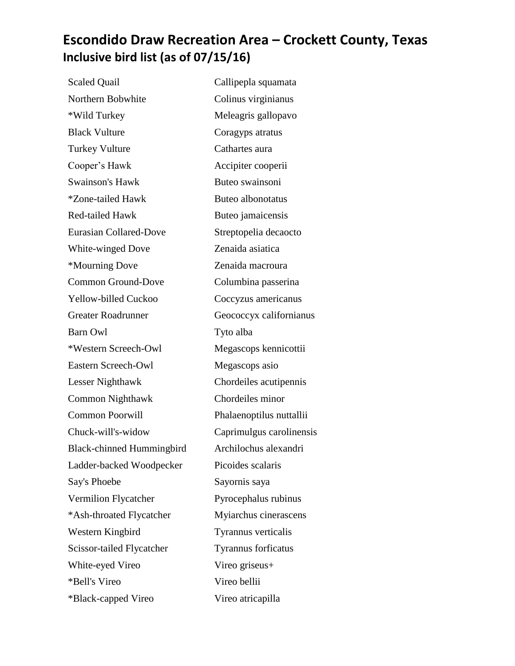## **Escondido Draw Recreation Area – Crockett County, Texas Inclusive bird list (as of 07/15/16)**

Scaled Quail Callipepla squamata Northern Bobwhite Colinus virginianus \*Wild Turkey Meleagris gallopavo Black Vulture Coragyps atratus Turkey Vulture Cathartes aura Cooper's Hawk Accipiter cooperii Swainson's Hawk Buteo swainsoni \*Zone-tailed Hawk Buteo albonotatus Red-tailed Hawk Buteo jamaicensis Eurasian Collared-Dove Streptopelia decaocto White-winged Dove **Zenaida asiatica**  \*Mourning Dove Zenaida macroura Common Ground-Dove Columbina passerina Yellow-billed Cuckoo Coccyzus americanus Greater Roadrunner Geococcyx californianus Barn Owl Tyto alba \*Western Screech-Owl Megascops kennicottii Eastern Screech-Owl Megascops asio Lesser Nighthawk Chordeiles acutipennis Common Nighthawk Chordeiles minor Common Poorwill Phalaenoptilus nuttallii Chuck-will's-widow Caprimulgus carolinensis Black-chinned Hummingbird Archilochus alexandri Ladder-backed Woodpecker Picoides scalaris Say's Phoebe Sayornis saya Vermilion Flycatcher Pyrocephalus rubinus \*Ash-throated Flycatcher Myiarchus cinerascens Western Kingbird Tyrannus verticalis Scissor-tailed Flycatcher Tyrannus forficatus White-eyed Vireo Vireo Vireo griseus + \*Bell's Vireo Vireo bellii \*Black-capped Vireo Vireo atricapilla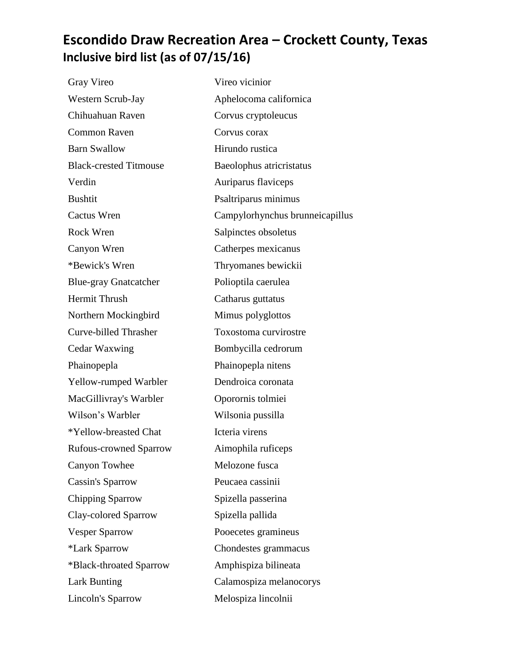## **Escondido Draw Recreation Area – Crockett County, Texas Inclusive bird list (as of 07/15/16)**

| Gray Vireo                    | Vireo vicinior                  |
|-------------------------------|---------------------------------|
| Western Scrub-Jay             | Aphelocoma californica          |
| Chihuahuan Raven              | Corvus cryptoleucus             |
| <b>Common Raven</b>           | Corvus corax                    |
| <b>Barn Swallow</b>           | Hirundo rustica                 |
| <b>Black-crested Titmouse</b> | Baeolophus atricristatus        |
| Verdin                        | Auriparus flaviceps             |
| <b>Bushtit</b>                | Psaltriparus minimus            |
| Cactus Wren                   | Campylorhynchus brunneicapillus |
| Rock Wren                     | Salpinctes obsoletus            |
| Canyon Wren                   | Catherpes mexicanus             |
| *Bewick's Wren                | Thryomanes bewickii             |
| <b>Blue-gray Gnatcatcher</b>  | Polioptila caerulea             |
| <b>Hermit Thrush</b>          | Catharus guttatus               |
| Northern Mockingbird          | Mimus polyglottos               |
| <b>Curve-billed Thrasher</b>  | Toxostoma curvirostre           |
| Cedar Waxwing                 | Bombycilla cedrorum             |
| Phainopepla                   | Phainopepla nitens              |
| Yellow-rumped Warbler         | Dendroica coronata              |
| MacGillivray's Warbler        | Oporornis tolmiei               |
| Wilson's Warbler              | Wilsonia pussilla               |
| *Yellow-breasted Chat         | Icteria virens                  |
| <b>Rufous-crowned Sparrow</b> | Aimophila ruficeps              |
| <b>Canyon Towhee</b>          | Melozone fusca                  |
| Cassin's Sparrow              | Peucaea cassinii                |
| <b>Chipping Sparrow</b>       | Spizella passerina              |
| Clay-colored Sparrow          | Spizella pallida                |
| <b>Vesper Sparrow</b>         | Pooecetes gramineus             |
| *Lark Sparrow                 | Chondestes grammacus            |
| *Black-throated Sparrow       | Amphispiza bilineata            |
| <b>Lark Bunting</b>           | Calamospiza melanocorys         |
| Lincoln's Sparrow             | Melospiza lincolnii             |